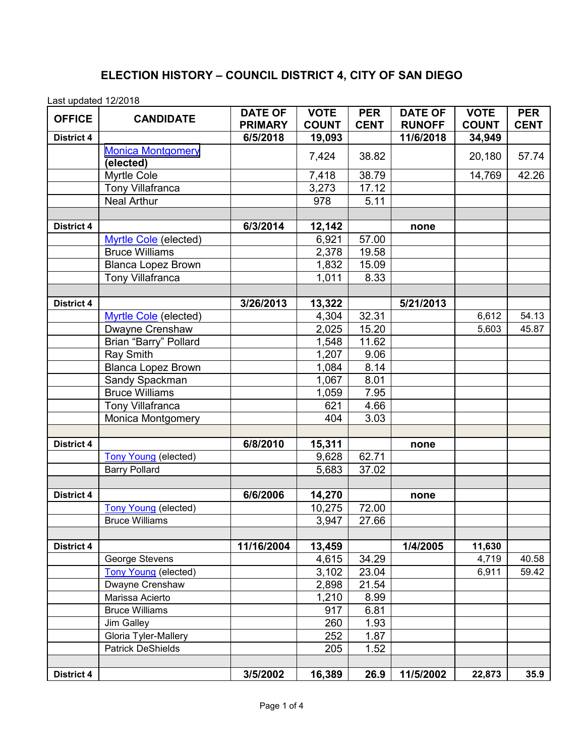## **ELECTION HISTORY – COUNCIL DISTRICT 4, CITY OF SAN DIEGO**

Last updated 12/2018

| Laot apaatoa 12/2010<br><b>OFFICE</b> | <b>CANDIDATE</b>             | <b>DATE OF</b><br><b>PRIMARY</b> | <b>VOTE</b><br><b>COUNT</b> | <b>PER</b><br><b>CENT</b> | <b>DATE OF</b><br><b>RUNOFF</b> | <b>VOTE</b><br><b>COUNT</b> | <b>PER</b><br><b>CENT</b> |
|---------------------------------------|------------------------------|----------------------------------|-----------------------------|---------------------------|---------------------------------|-----------------------------|---------------------------|
| <b>District 4</b>                     |                              | 6/5/2018                         | 19,093                      |                           | 11/6/2018                       | 34,949                      |                           |
|                                       | <b>Monica Montgomery</b>     |                                  |                             |                           |                                 |                             |                           |
|                                       | (elected)                    |                                  | 7,424                       | 38.82                     |                                 | 20,180                      | 57.74                     |
|                                       | Myrtle Cole                  |                                  | 7,418                       | 38.79                     |                                 | 14,769                      | 42.26                     |
|                                       | <b>Tony Villafranca</b>      |                                  | 3,273                       | 17.12                     |                                 |                             |                           |
|                                       | <b>Neal Arthur</b>           |                                  | 978                         | 5.11                      |                                 |                             |                           |
|                                       |                              |                                  |                             |                           |                                 |                             |                           |
| <b>District 4</b>                     |                              | 6/3/2014                         | 12,142                      |                           | none                            |                             |                           |
|                                       | Myrtle Cole (elected)        |                                  | 6,921                       | 57.00                     |                                 |                             |                           |
|                                       | <b>Bruce Williams</b>        |                                  | 2,378                       | 19.58                     |                                 |                             |                           |
|                                       | <b>Blanca Lopez Brown</b>    |                                  | 1,832                       | 15.09                     |                                 |                             |                           |
|                                       | Tony Villafranca             |                                  | 1,011                       | 8.33                      |                                 |                             |                           |
|                                       |                              |                                  |                             |                           |                                 |                             |                           |
| <b>District 4</b>                     |                              | 3/26/2013                        | 13,322                      |                           | 5/21/2013                       |                             |                           |
|                                       | <b>Myrtle Cole</b> (elected) |                                  | 4,304                       | 32.31                     |                                 | 6,612                       | 54.13                     |
|                                       | Dwayne Crenshaw              |                                  | 2,025                       | 15.20                     |                                 | 5,603                       | 45.87                     |
|                                       | Brian "Barry" Pollard        |                                  | 1,548                       | 11.62                     |                                 |                             |                           |
|                                       | <b>Ray Smith</b>             |                                  | 1,207                       | 9.06                      |                                 |                             |                           |
|                                       | <b>Blanca Lopez Brown</b>    |                                  | 1,084                       | 8.14                      |                                 |                             |                           |
|                                       | Sandy Spackman               |                                  | 1,067                       | 8.01                      |                                 |                             |                           |
|                                       | <b>Bruce Williams</b>        |                                  | 1,059                       | 7.95                      |                                 |                             |                           |
|                                       | <b>Tony Villafranca</b>      |                                  | 621                         | 4.66                      |                                 |                             |                           |
|                                       | <b>Monica Montgomery</b>     |                                  | 404                         | 3.03                      |                                 |                             |                           |
|                                       |                              |                                  |                             |                           |                                 |                             |                           |
| <b>District 4</b>                     |                              | 6/8/2010                         | 15,311                      |                           | none                            |                             |                           |
|                                       | <b>Tony Young (elected)</b>  |                                  | 9,628                       | 62.71                     |                                 |                             |                           |
|                                       | <b>Barry Pollard</b>         |                                  | 5,683                       | 37.02                     |                                 |                             |                           |
| <b>District 4</b>                     |                              | 6/6/2006                         | 14,270                      |                           | none                            |                             |                           |
|                                       | <b>Tony Young (elected)</b>  |                                  | 10,275                      | 72.00                     |                                 |                             |                           |
|                                       | <b>Bruce Williams</b>        |                                  | 3,947                       | 27.66                     |                                 |                             |                           |
|                                       |                              |                                  |                             |                           |                                 |                             |                           |
| <b>District 4</b>                     |                              | 11/16/2004                       | 13,459                      |                           | 1/4/2005                        | 11,630                      |                           |
|                                       | George Stevens               |                                  | 4,615                       | 34.29                     |                                 | 4,719                       | 40.58                     |
|                                       | <b>Tony Young (elected)</b>  |                                  | 3,102                       | 23.04                     |                                 | 6,911                       | 59.42                     |
|                                       | Dwayne Crenshaw              |                                  | 2,898                       | 21.54                     |                                 |                             |                           |
|                                       | Marissa Acierto              |                                  | 1,210                       | 8.99                      |                                 |                             |                           |
|                                       | <b>Bruce Williams</b>        |                                  | 917                         | 6.81                      |                                 |                             |                           |
|                                       | <b>Jim Galley</b>            |                                  | 260                         | 1.93                      |                                 |                             |                           |
|                                       | Gloria Tyler-Mallery         |                                  | 252                         | 1.87                      |                                 |                             |                           |
|                                       | <b>Patrick DeShields</b>     |                                  | 205                         | 1.52                      |                                 |                             |                           |
|                                       |                              |                                  |                             |                           |                                 |                             |                           |
| <b>District 4</b>                     |                              | 3/5/2002                         | 16,389                      | 26.9                      | 11/5/2002                       | 22,873                      | 35.9                      |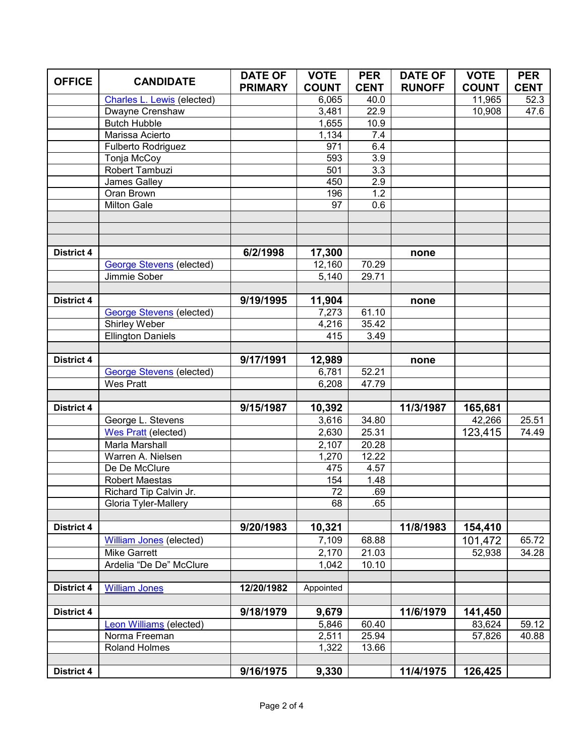|                   |                                   | <b>DATE OF</b> | <b>VOTE</b>  | <b>PER</b>         | <b>DATE OF</b> | <b>VOTE</b>  | <b>PER</b>  |
|-------------------|-----------------------------------|----------------|--------------|--------------------|----------------|--------------|-------------|
| <b>OFFICE</b>     | <b>CANDIDATE</b>                  | <b>PRIMARY</b> | <b>COUNT</b> | <b>CENT</b>        | <b>RUNOFF</b>  | <b>COUNT</b> | <b>CENT</b> |
|                   | <b>Charles L. Lewis (elected)</b> |                | 6,065        | 40.0               |                | 11,965       | 52.3        |
|                   | Dwayne Crenshaw                   |                | 3,481        | 22.9               |                | 10,908       | 47.6        |
|                   | <b>Butch Hubble</b>               |                | 1,655        | 10.9               |                |              |             |
|                   | Marissa Acierto                   |                | 1,134        | 7.4                |                |              |             |
|                   | Fulberto Rodriguez                |                | 971          | 6.4                |                |              |             |
|                   | Tonja McCoy                       |                | 593          | 3.9                |                |              |             |
|                   | Robert Tambuzi                    |                | 501          | 3.3                |                |              |             |
|                   | James Galley                      |                | 450          | 2.9                |                |              |             |
|                   | Oran Brown                        |                | 196          | 1.2                |                |              |             |
|                   | <b>Milton Gale</b>                |                | 97           | 0.6                |                |              |             |
|                   |                                   |                |              |                    |                |              |             |
|                   |                                   |                |              |                    |                |              |             |
|                   |                                   |                |              |                    |                |              |             |
| <b>District 4</b> |                                   | 6/2/1998       | 17,300       |                    | none           |              |             |
|                   | <b>George Stevens (elected)</b>   |                | 12,160       | $\overline{7}0.29$ |                |              |             |
|                   | Jimmie Sober                      |                | 5,140        | 29.71              |                |              |             |
|                   |                                   |                |              |                    |                |              |             |
| <b>District 4</b> |                                   | 9/19/1995      | 11,904       |                    | none           |              |             |
|                   | <b>George Stevens (elected)</b>   |                | 7,273        | 61.10              |                |              |             |
|                   | Shirley Weber                     |                | 4,216<br>415 | 35.42<br>3.49      |                |              |             |
|                   | <b>Ellington Daniels</b>          |                |              |                    |                |              |             |
| District 4        |                                   | 9/17/1991      | 12,989       |                    |                |              |             |
|                   | <b>George Stevens (elected)</b>   |                | 6,781        | 52.21              | none           |              |             |
|                   | <b>Wes Pratt</b>                  |                | 6,208        | 47.79              |                |              |             |
|                   |                                   |                |              |                    |                |              |             |
| <b>District 4</b> |                                   | 9/15/1987      | 10,392       |                    | 11/3/1987      | 165,681      |             |
|                   | George L. Stevens                 |                | 3,616        | 34.80              |                | 42,266       | 25.51       |
|                   | <b>Wes Pratt</b> (elected)        |                | 2,630        | 25.31              |                | 123,415      | 74.49       |
|                   | <b>Marla Marshall</b>             |                | 2,107        | 20.28              |                |              |             |
|                   | Warren A. Nielsen                 |                | 1,270        | 12.22              |                |              |             |
|                   | De De McClure                     |                | 475          | 4.57               |                |              |             |
|                   | <b>Robert Maestas</b>             |                | 154          | 1.48               |                |              |             |
|                   | Richard Tip Calvin Jr.            |                | 72           | .69                |                |              |             |
|                   | Gloria Tyler-Mallery              |                | 68           | .65                |                |              |             |
|                   |                                   |                |              |                    |                |              |             |
| <b>District 4</b> |                                   | 9/20/1983      | 10,321       |                    | 11/8/1983      | 154,410      |             |
|                   | William Jones (elected)           |                | 7,109        | 68.88              |                | 101,472      | 65.72       |
|                   | <b>Mike Garrett</b>               |                | 2,170        | 21.03              |                | 52,938       | 34.28       |
|                   | Ardelia "De De" McClure           |                | 1,042        | 10.10              |                |              |             |
|                   |                                   |                |              |                    |                |              |             |
| District 4        | <b>William Jones</b>              | 12/20/1982     | Appointed    |                    |                |              |             |
|                   |                                   |                |              |                    |                |              |             |
| District 4        |                                   | 9/18/1979      | 9,679        |                    | 11/6/1979      | 141,450      |             |
|                   | Leon Williams (elected)           |                | 5,846        | 60.40              |                | 83,624       | 59.12       |
|                   | Norma Freeman                     |                | 2,511        | 25.94              |                | 57,826       | 40.88       |
|                   | Roland Holmes                     |                | 1,322        | 13.66              |                |              |             |
|                   |                                   |                |              |                    |                |              |             |
| District 4        |                                   | 9/16/1975      | 9,330        |                    | 11/4/1975      | 126,425      |             |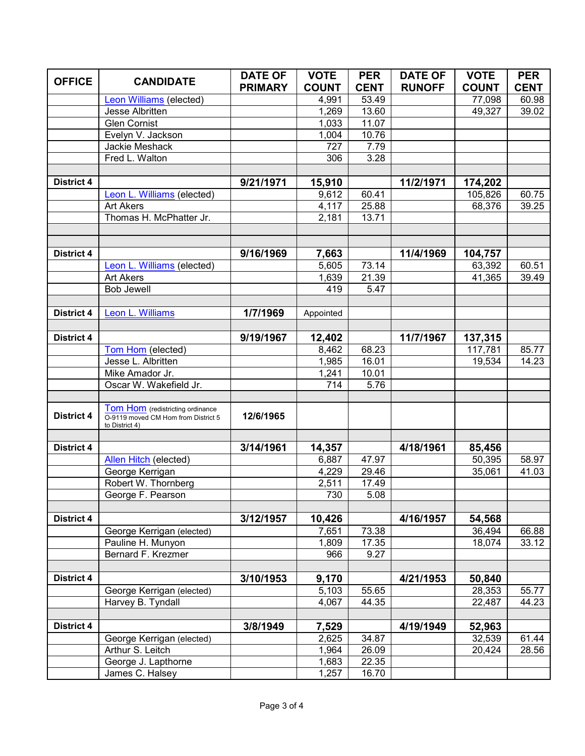|                   |                                                                         | <b>DATE OF</b> | <b>VOTE</b>  | <b>PER</b>  | <b>DATE OF</b> | <b>VOTE</b>  | <b>PER</b>  |
|-------------------|-------------------------------------------------------------------------|----------------|--------------|-------------|----------------|--------------|-------------|
| <b>OFFICE</b>     | <b>CANDIDATE</b>                                                        | <b>PRIMARY</b> | <b>COUNT</b> | <b>CENT</b> | <b>RUNOFF</b>  | <b>COUNT</b> | <b>CENT</b> |
|                   | <b>Leon Williams (elected)</b>                                          |                | 4,991        | 53.49       |                | 77,098       | 60.98       |
|                   | Jesse Albritten                                                         |                | 1,269        | 13.60       |                | 49,327       | 39.02       |
|                   | <b>Glen Cornist</b>                                                     |                | 1,033        | 11.07       |                |              |             |
|                   | Evelyn V. Jackson                                                       |                | 1,004        | 10.76       |                |              |             |
|                   | Jackie Meshack                                                          |                | 727          | 7.79        |                |              |             |
|                   | Fred L. Walton                                                          |                | 306          | 3.28        |                |              |             |
|                   |                                                                         |                |              |             |                |              |             |
| <b>District 4</b> |                                                                         | 9/21/1971      | 15,910       |             | 11/2/1971      | 174,202      |             |
|                   | Leon L. Williams (elected)                                              |                | 9,612        | 60.41       |                | 105,826      | 60.75       |
|                   | <b>Art Akers</b>                                                        |                | 4,117        | 25.88       |                | 68,376       | 39.25       |
|                   | Thomas H. McPhatter Jr.                                                 |                | 2,181        | 13.71       |                |              |             |
|                   |                                                                         |                |              |             |                |              |             |
|                   |                                                                         |                |              |             |                |              |             |
| <b>District 4</b> |                                                                         | 9/16/1969      | 7,663        |             | 11/4/1969      | 104,757      |             |
|                   | Leon L. Williams (elected)                                              |                | 5,605        | 73.14       |                | 63,392       | 60.51       |
|                   | <b>Art Akers</b>                                                        |                | 1,639        | 21.39       |                | 41,365       | 39.49       |
|                   | <b>Bob Jewell</b>                                                       |                | 419          | 5.47        |                |              |             |
|                   |                                                                         |                |              |             |                |              |             |
| <b>District 4</b> | Leon L. Williams                                                        | 1/7/1969       | Appointed    |             |                |              |             |
|                   |                                                                         |                |              |             |                |              |             |
| <b>District 4</b> |                                                                         | 9/19/1967      | 12,402       |             | 11/7/1967      | 137,315      |             |
|                   | Tom Hom (elected)                                                       |                | 8,462        | 68.23       |                | 117,781      | 85.77       |
|                   | Jesse L. Albritten                                                      |                | 1,985        | 16.01       |                | 19,534       | 14.23       |
|                   | Mike Amador Jr.                                                         |                | 1,241        | 10.01       |                |              |             |
|                   | Oscar W. Wakefield Jr.                                                  |                | 714          | 5.76        |                |              |             |
|                   |                                                                         |                |              |             |                |              |             |
| <b>District 4</b> | Tom Hom (redistricting ordinance<br>O-9119 moved CM Hom from District 5 | 12/6/1965      |              |             |                |              |             |
|                   | to District 4)                                                          |                |              |             |                |              |             |
|                   |                                                                         |                |              |             |                |              |             |
| <b>District 4</b> |                                                                         | 3/14/1961      | 14,357       |             | 4/18/1961      | 85,456       |             |
|                   | Allen Hitch (elected)                                                   |                | 6,887        | 47.97       |                | 50,395       | 58.97       |
|                   | George Kerrigan                                                         |                | 4,229        | 29.46       |                | 35,061       | 41.03       |
|                   | Robert W. Thornberg                                                     |                | 2,511        | 17.49       |                |              |             |
|                   | George F. Pearson                                                       |                | 730          | 5.08        |                |              |             |
|                   |                                                                         |                |              |             |                |              |             |
| <b>District 4</b> |                                                                         | 3/12/1957      | 10,426       |             | 4/16/1957      | 54,568       |             |
|                   | George Kerrigan (elected)                                               |                | 7,651        | 73.38       |                | 36,494       | 66.88       |
|                   | Pauline H. Munyon                                                       |                | 1,809        | 17.35       |                | 18,074       | 33.12       |
|                   | Bernard F. Krezmer                                                      |                | 966          | 9.27        |                |              |             |
|                   |                                                                         |                |              |             |                |              |             |
| <b>District 4</b> |                                                                         | 3/10/1953      | 9,170        |             | 4/21/1953      | 50,840       |             |
|                   | George Kerrigan (elected)                                               |                | 5,103        | 55.65       |                | 28,353       | 55.77       |
|                   | Harvey B. Tyndall                                                       |                | 4,067        | 44.35       |                | 22,487       | 44.23       |
|                   |                                                                         |                |              |             |                |              |             |
| District 4        |                                                                         | 3/8/1949       | 7,529        |             | 4/19/1949      | 52,963       |             |
|                   | George Kerrigan (elected)                                               |                | 2,625        | 34.87       |                | 32,539       | 61.44       |
|                   | Arthur S. Leitch                                                        |                | 1,964        | 26.09       |                | 20,424       | 28.56       |
|                   | George J. Lapthorne                                                     |                | 1,683        | 22.35       |                |              |             |
|                   | James C. Halsey                                                         |                | 1,257        | 16.70       |                |              |             |